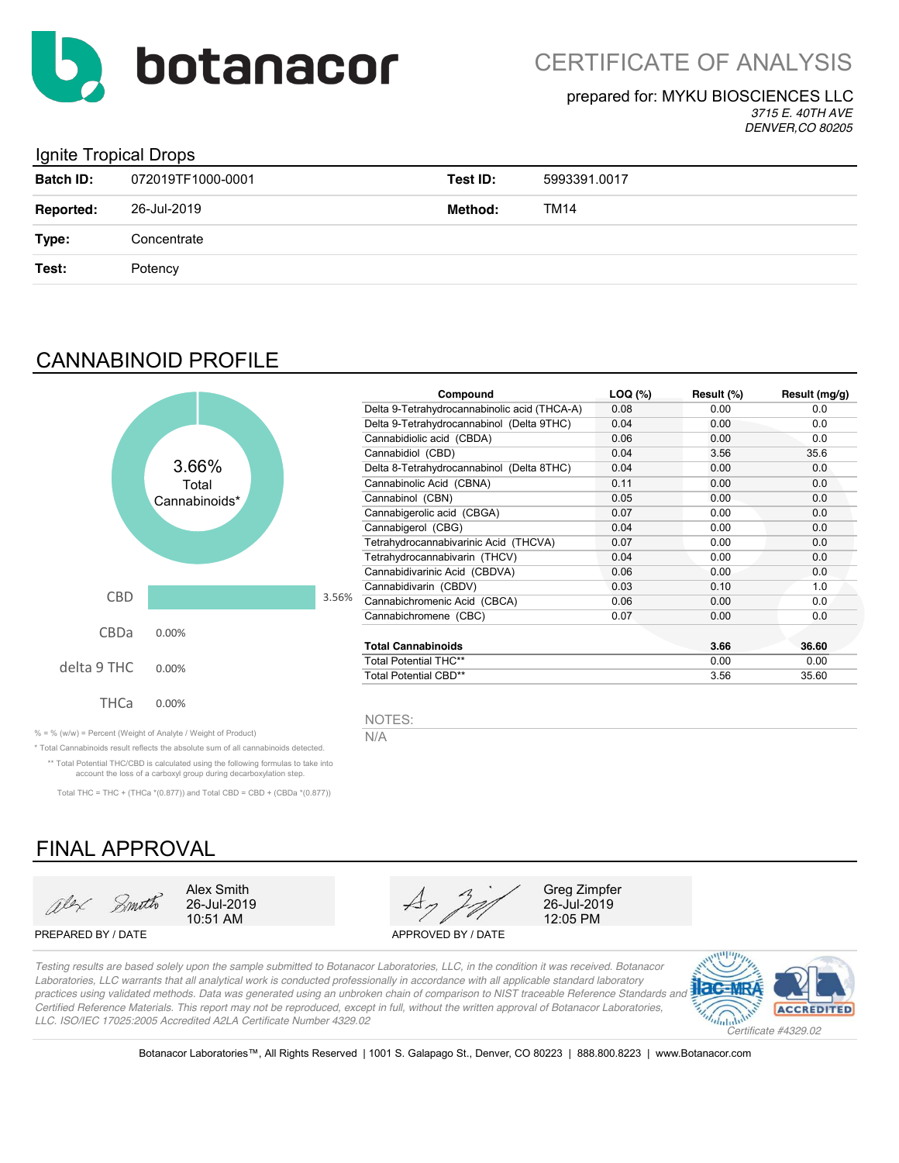

#### prepared for: MYKU BIOSCIENCES LLC

*3715 E. 40TH AVE DENVER,CO 80205*

#### Ignite Tropical Drops

| <b>Batch ID:</b> | 072019TF1000-0001 | Test ID: | 5993391.0017 |
|------------------|-------------------|----------|--------------|
| <b>Reported:</b> | 26-Jul-2019       | Method:  | TM14         |
| Type:            | Concentrate       |          |              |
| Test:            | Potency           |          |              |
|                  |                   |          |              |

### CANNABINOID PROFILE



| Compound                                     | $LOQ$ $(*)$ | Result (%) | Result (mg/g) |
|----------------------------------------------|-------------|------------|---------------|
| Delta 9-Tetrahydrocannabinolic acid (THCA-A) | 0.08        | 0.00       | 0.0           |
| Delta 9-Tetrahydrocannabinol (Delta 9THC)    | 0.04        | 0.00       | 0.0           |
| Cannabidiolic acid (CBDA)                    | 0.06        | 0.00       | 0.0           |
| Cannabidiol (CBD)                            | 0.04        | 3.56       | 35.6          |
| Delta 8-Tetrahydrocannabinol (Delta 8THC)    | 0.04        | 0.00       | 0.0           |
| Cannabinolic Acid (CBNA)                     | 0.11        | 0.00       | 0.0           |
| Cannabinol (CBN)                             | 0.05        | 0.00       | 0.0           |
| Cannabigerolic acid (CBGA)                   | 0.07        | 0.00       | 0.0           |
| Cannabigerol (CBG)                           | 0.04        | 0.00       | 0.0           |
| Tetrahydrocannabivarinic Acid (THCVA)        | 0.07        | 0.00       | 0.0           |
| Tetrahydrocannabivarin (THCV)                | 0.04        | 0.00       | 0.0           |
| Cannabidivarinic Acid (CBDVA)                | 0.06        | 0.00       | 0.0           |
| Cannabidivarin (CBDV)                        | 0.03        | 0.10       | 1.0           |
| Cannabichromenic Acid (CBCA)                 | 0.06        | 0.00       | 0.0           |
| Cannabichromene (CBC)                        | 0.07        | 0.00       | 0.0           |
| <b>Total Cannabinoids</b>                    |             | 3.66       | 36.60         |
| <b>Total Potential THC**</b>                 |             | 0.00       | 0.00          |
| Total Potential CBD**                        |             | 3.56       | 35.60         |

NOTES:

% = % (w/w) = Percent (Weight of Analyte / Weight of Product)  $\overline{N/A}$ 

\* Total Cannabinoids result reflects the absolute sum of all cannabinoids detected. \*\* Total Potential THC/CBD is calculated using the following formulas to take into account the loss of a carboxyl group during decarboxylation step.

Total THC = THC + (THCa \*(0.877)) and Total CBD = CBD + (CBDa \*(0.877))

## FINAL APPROVAL

alex Smith

10:51 AM

PREPARED BY / DATE APPROVED BY / DATE



26-Jul-2019<br>12:05 PM

*Testing results are based solely upon the sample submitted to Botanacor Laboratories, LLC, in the condition it was received. Botanacor Laboratories, LLC warrants that all analytical work is conducted professionally in accordance with all applicable standard laboratory practices using validated methods. Data was generated using an unbroken chain of comparison to NIST traceable Reference Standards and Certified Reference Materials. This report may not be reproduced, except in full, without the written approval of Botanacor Laboratories, LLC. ISO/IEC 17025:2005 Accredited A2LA Certificate Number 4329.02*



Botanacor Laboratories™, All Rights Reserved | 1001 S. Galapago St., Denver, CO 80223 | 888.800.8223 | www.Botanacor.com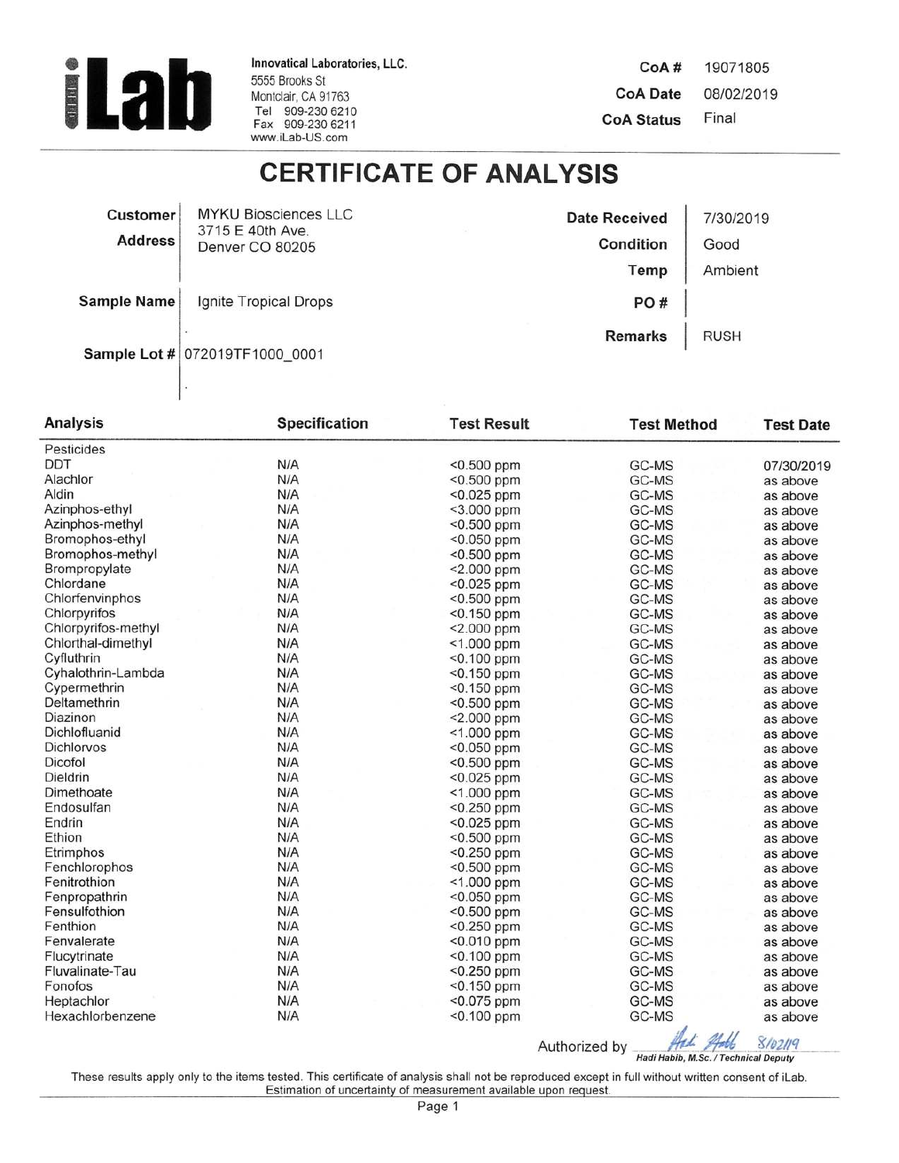

Innovatical Laboratories, LLC. 5555 Brooks St Montclair, CA 91763 Tel 909-230 6210<br>Fax 909-230 6211 www.iLab-US.com

CoA# 19071805 **CoA Date** 08/02/2019 Final **CoA Status** 

## **CERTIFICATE OF ANALYSIS**

| <b>Customer</b>    | <b>MYKU Biosciences LLC</b><br>3715 E 40th Ave.<br>Denver CO 80205 | <b>Date Received</b> | 7/30/2019   |
|--------------------|--------------------------------------------------------------------|----------------------|-------------|
| <b>Address</b>     |                                                                    | Condition            | Good        |
|                    |                                                                    | Temp                 | Ambient     |
| <b>Sample Name</b> | Ignite Tropical Drops                                              | PO#                  |             |
|                    | Sample Lot # 072019TF1000 0001                                     | <b>Remarks</b>       | <b>RUSH</b> |

| Pesticides<br><b>DDT</b><br>N/A<br>$<$ 0.500 ppm<br>GC-MS<br>07/30/2019<br>N/A<br>Alachlor<br><0.500 ppm<br>GC-MS<br>as above<br>Aldin<br>N/A<br>$< 0.025$ ppm<br>GC-MS<br>as above<br>N/A<br>Azinphos-ethyl<br>$<$ 3.000 ppm<br>GC-MS<br>as above<br>N/A<br>Azinphos-methyl<br>$<$ 0.500 ppm<br>GC-MS<br>as above<br>Bromophos-ethyl<br>N/A<br>$< 0.050$ ppm<br>GC-MS<br>as above<br>N/A<br>Bromophos-methyl<br><0.500 ppm<br>GC-MS<br>as above<br>N/A<br><2.000 ppm<br>Brompropylate<br>GC-MS<br>as above<br>N/A<br>Chlordane<br>$< 0.025$ ppm<br>GC-MS<br>as above<br>Chlorfenvinphos<br>N/A<br><0.500 ppm<br>GC-MS<br>as above<br>Chlorpyrifos<br>N/A<br><0.150 ppm<br>GC-MS<br>as above<br>N/A<br>Chlorpyrifos-methyl<br><2.000 ppm<br>GC-MS<br>as above<br>N/A<br>Chlorthal-dimethyl<br><1.000 ppm<br>GC-MS<br>as above<br>N/A<br>Cyfluthrin<br><0.100 ppm<br>GC-MS<br>as above<br>N/A<br>Cyhalothrin-Lambda<br>$< 0.150$ ppm<br>GC-MS<br>as above<br>N/A<br>Cypermethrin<br>$<$ 0.150 ppm<br>GC-MS<br>as above<br>N/A<br>Deltamethrin<br><0.500 ppm<br>GC-MS<br>as above<br>N/A<br>Diazinon<br><2.000 ppm<br>GC-MS<br>as above<br>N/A<br>Dichlofluanid<br>$<$ 1.000 ppm<br>GC-MS<br>as above<br>N/A<br>Dichlorvos<br><0.050 ppm<br>GC-MS<br>as above<br>N/A<br>Dicofol<br><0.500 ppm<br>GC-MS<br>as above<br>Dieldrin<br>N/A<br>$< 0.025$ ppm<br>GC-MS<br>as above<br>N/A<br>Dimethoate<br><1.000 ppm<br>GC-MS<br>as above<br>N/A<br>Endosulfan<br>$<$ 0.250 ppm<br>GC-MS<br>as above<br>N/A<br>Endrin<br><0.025 ppm<br>GC-MS<br>as above<br>N/A<br>Ethion<br>GC-MS<br><0.500 ppm<br>as above<br>N/A<br>Etrimphos<br>$< 0.250$ ppm<br>GC-MS<br>as above<br>N/A<br>Fenchlorophos<br><0.500 ppm<br>GC-MS<br>as above<br>N/A<br>$<$ 1.000 ppm<br>Fenitrothion<br>GC-MS<br>as above<br>N/A<br><0.050 ppm<br>Fenpropathrin<br>GC-MS<br>as above<br>N/A<br>Fensulfothion<br><0.500 ppm<br>GC-MS<br>as above<br>N/A<br>Fenthion<br><0.250 ppm<br>GC-MS<br>as above<br>N/A<br>Fenvalerate<br><0.010 ppm<br>GC-MS<br>as above<br>N/A<br><0.100 ppm<br>Flucytrinate<br>GC-MS<br>as above<br>N/A<br>$<$ 0.250 ppm<br>GC-MS<br>Fluvalinate-Tau<br>as above<br>N/A<br>$<$ 0.150 ppm<br>GC-MS<br>Fonofos<br>as above<br>N/A<br>Heptachlor<br>$< 0.075$ ppm<br>GC-MS<br>as above<br>N/A<br>Hexachlorbenzene<br>GC-MS<br><0.100 ppm<br>as above | <b>Analysis</b> | <b>Specification</b> | <b>Test Result</b> | <b>Test Method</b> | <b>Test Date</b> |
|----------------------------------------------------------------------------------------------------------------------------------------------------------------------------------------------------------------------------------------------------------------------------------------------------------------------------------------------------------------------------------------------------------------------------------------------------------------------------------------------------------------------------------------------------------------------------------------------------------------------------------------------------------------------------------------------------------------------------------------------------------------------------------------------------------------------------------------------------------------------------------------------------------------------------------------------------------------------------------------------------------------------------------------------------------------------------------------------------------------------------------------------------------------------------------------------------------------------------------------------------------------------------------------------------------------------------------------------------------------------------------------------------------------------------------------------------------------------------------------------------------------------------------------------------------------------------------------------------------------------------------------------------------------------------------------------------------------------------------------------------------------------------------------------------------------------------------------------------------------------------------------------------------------------------------------------------------------------------------------------------------------------------------------------------------------------------------------------------------------------------------------------------------------------------------------------------------------------------------------------------------------------------------------------------------------------------------------|-----------------|----------------------|--------------------|--------------------|------------------|
|                                                                                                                                                                                                                                                                                                                                                                                                                                                                                                                                                                                                                                                                                                                                                                                                                                                                                                                                                                                                                                                                                                                                                                                                                                                                                                                                                                                                                                                                                                                                                                                                                                                                                                                                                                                                                                                                                                                                                                                                                                                                                                                                                                                                                                                                                                                                        |                 |                      |                    |                    |                  |
|                                                                                                                                                                                                                                                                                                                                                                                                                                                                                                                                                                                                                                                                                                                                                                                                                                                                                                                                                                                                                                                                                                                                                                                                                                                                                                                                                                                                                                                                                                                                                                                                                                                                                                                                                                                                                                                                                                                                                                                                                                                                                                                                                                                                                                                                                                                                        |                 |                      |                    |                    |                  |
|                                                                                                                                                                                                                                                                                                                                                                                                                                                                                                                                                                                                                                                                                                                                                                                                                                                                                                                                                                                                                                                                                                                                                                                                                                                                                                                                                                                                                                                                                                                                                                                                                                                                                                                                                                                                                                                                                                                                                                                                                                                                                                                                                                                                                                                                                                                                        |                 |                      |                    |                    |                  |
|                                                                                                                                                                                                                                                                                                                                                                                                                                                                                                                                                                                                                                                                                                                                                                                                                                                                                                                                                                                                                                                                                                                                                                                                                                                                                                                                                                                                                                                                                                                                                                                                                                                                                                                                                                                                                                                                                                                                                                                                                                                                                                                                                                                                                                                                                                                                        |                 |                      |                    |                    |                  |
|                                                                                                                                                                                                                                                                                                                                                                                                                                                                                                                                                                                                                                                                                                                                                                                                                                                                                                                                                                                                                                                                                                                                                                                                                                                                                                                                                                                                                                                                                                                                                                                                                                                                                                                                                                                                                                                                                                                                                                                                                                                                                                                                                                                                                                                                                                                                        |                 |                      |                    |                    |                  |
|                                                                                                                                                                                                                                                                                                                                                                                                                                                                                                                                                                                                                                                                                                                                                                                                                                                                                                                                                                                                                                                                                                                                                                                                                                                                                                                                                                                                                                                                                                                                                                                                                                                                                                                                                                                                                                                                                                                                                                                                                                                                                                                                                                                                                                                                                                                                        |                 |                      |                    |                    |                  |
|                                                                                                                                                                                                                                                                                                                                                                                                                                                                                                                                                                                                                                                                                                                                                                                                                                                                                                                                                                                                                                                                                                                                                                                                                                                                                                                                                                                                                                                                                                                                                                                                                                                                                                                                                                                                                                                                                                                                                                                                                                                                                                                                                                                                                                                                                                                                        |                 |                      |                    |                    |                  |
|                                                                                                                                                                                                                                                                                                                                                                                                                                                                                                                                                                                                                                                                                                                                                                                                                                                                                                                                                                                                                                                                                                                                                                                                                                                                                                                                                                                                                                                                                                                                                                                                                                                                                                                                                                                                                                                                                                                                                                                                                                                                                                                                                                                                                                                                                                                                        |                 |                      |                    |                    |                  |
|                                                                                                                                                                                                                                                                                                                                                                                                                                                                                                                                                                                                                                                                                                                                                                                                                                                                                                                                                                                                                                                                                                                                                                                                                                                                                                                                                                                                                                                                                                                                                                                                                                                                                                                                                                                                                                                                                                                                                                                                                                                                                                                                                                                                                                                                                                                                        |                 |                      |                    |                    |                  |
|                                                                                                                                                                                                                                                                                                                                                                                                                                                                                                                                                                                                                                                                                                                                                                                                                                                                                                                                                                                                                                                                                                                                                                                                                                                                                                                                                                                                                                                                                                                                                                                                                                                                                                                                                                                                                                                                                                                                                                                                                                                                                                                                                                                                                                                                                                                                        |                 |                      |                    |                    |                  |
|                                                                                                                                                                                                                                                                                                                                                                                                                                                                                                                                                                                                                                                                                                                                                                                                                                                                                                                                                                                                                                                                                                                                                                                                                                                                                                                                                                                                                                                                                                                                                                                                                                                                                                                                                                                                                                                                                                                                                                                                                                                                                                                                                                                                                                                                                                                                        |                 |                      |                    |                    |                  |
|                                                                                                                                                                                                                                                                                                                                                                                                                                                                                                                                                                                                                                                                                                                                                                                                                                                                                                                                                                                                                                                                                                                                                                                                                                                                                                                                                                                                                                                                                                                                                                                                                                                                                                                                                                                                                                                                                                                                                                                                                                                                                                                                                                                                                                                                                                                                        |                 |                      |                    |                    |                  |
|                                                                                                                                                                                                                                                                                                                                                                                                                                                                                                                                                                                                                                                                                                                                                                                                                                                                                                                                                                                                                                                                                                                                                                                                                                                                                                                                                                                                                                                                                                                                                                                                                                                                                                                                                                                                                                                                                                                                                                                                                                                                                                                                                                                                                                                                                                                                        |                 |                      |                    |                    |                  |
|                                                                                                                                                                                                                                                                                                                                                                                                                                                                                                                                                                                                                                                                                                                                                                                                                                                                                                                                                                                                                                                                                                                                                                                                                                                                                                                                                                                                                                                                                                                                                                                                                                                                                                                                                                                                                                                                                                                                                                                                                                                                                                                                                                                                                                                                                                                                        |                 |                      |                    |                    |                  |
|                                                                                                                                                                                                                                                                                                                                                                                                                                                                                                                                                                                                                                                                                                                                                                                                                                                                                                                                                                                                                                                                                                                                                                                                                                                                                                                                                                                                                                                                                                                                                                                                                                                                                                                                                                                                                                                                                                                                                                                                                                                                                                                                                                                                                                                                                                                                        |                 |                      |                    |                    |                  |
|                                                                                                                                                                                                                                                                                                                                                                                                                                                                                                                                                                                                                                                                                                                                                                                                                                                                                                                                                                                                                                                                                                                                                                                                                                                                                                                                                                                                                                                                                                                                                                                                                                                                                                                                                                                                                                                                                                                                                                                                                                                                                                                                                                                                                                                                                                                                        |                 |                      |                    |                    |                  |
|                                                                                                                                                                                                                                                                                                                                                                                                                                                                                                                                                                                                                                                                                                                                                                                                                                                                                                                                                                                                                                                                                                                                                                                                                                                                                                                                                                                                                                                                                                                                                                                                                                                                                                                                                                                                                                                                                                                                                                                                                                                                                                                                                                                                                                                                                                                                        |                 |                      |                    |                    |                  |
|                                                                                                                                                                                                                                                                                                                                                                                                                                                                                                                                                                                                                                                                                                                                                                                                                                                                                                                                                                                                                                                                                                                                                                                                                                                                                                                                                                                                                                                                                                                                                                                                                                                                                                                                                                                                                                                                                                                                                                                                                                                                                                                                                                                                                                                                                                                                        |                 |                      |                    |                    |                  |
|                                                                                                                                                                                                                                                                                                                                                                                                                                                                                                                                                                                                                                                                                                                                                                                                                                                                                                                                                                                                                                                                                                                                                                                                                                                                                                                                                                                                                                                                                                                                                                                                                                                                                                                                                                                                                                                                                                                                                                                                                                                                                                                                                                                                                                                                                                                                        |                 |                      |                    |                    |                  |
|                                                                                                                                                                                                                                                                                                                                                                                                                                                                                                                                                                                                                                                                                                                                                                                                                                                                                                                                                                                                                                                                                                                                                                                                                                                                                                                                                                                                                                                                                                                                                                                                                                                                                                                                                                                                                                                                                                                                                                                                                                                                                                                                                                                                                                                                                                                                        |                 |                      |                    |                    |                  |
|                                                                                                                                                                                                                                                                                                                                                                                                                                                                                                                                                                                                                                                                                                                                                                                                                                                                                                                                                                                                                                                                                                                                                                                                                                                                                                                                                                                                                                                                                                                                                                                                                                                                                                                                                                                                                                                                                                                                                                                                                                                                                                                                                                                                                                                                                                                                        |                 |                      |                    |                    |                  |
|                                                                                                                                                                                                                                                                                                                                                                                                                                                                                                                                                                                                                                                                                                                                                                                                                                                                                                                                                                                                                                                                                                                                                                                                                                                                                                                                                                                                                                                                                                                                                                                                                                                                                                                                                                                                                                                                                                                                                                                                                                                                                                                                                                                                                                                                                                                                        |                 |                      |                    |                    |                  |
|                                                                                                                                                                                                                                                                                                                                                                                                                                                                                                                                                                                                                                                                                                                                                                                                                                                                                                                                                                                                                                                                                                                                                                                                                                                                                                                                                                                                                                                                                                                                                                                                                                                                                                                                                                                                                                                                                                                                                                                                                                                                                                                                                                                                                                                                                                                                        |                 |                      |                    |                    |                  |
|                                                                                                                                                                                                                                                                                                                                                                                                                                                                                                                                                                                                                                                                                                                                                                                                                                                                                                                                                                                                                                                                                                                                                                                                                                                                                                                                                                                                                                                                                                                                                                                                                                                                                                                                                                                                                                                                                                                                                                                                                                                                                                                                                                                                                                                                                                                                        |                 |                      |                    |                    |                  |
|                                                                                                                                                                                                                                                                                                                                                                                                                                                                                                                                                                                                                                                                                                                                                                                                                                                                                                                                                                                                                                                                                                                                                                                                                                                                                                                                                                                                                                                                                                                                                                                                                                                                                                                                                                                                                                                                                                                                                                                                                                                                                                                                                                                                                                                                                                                                        |                 |                      |                    |                    |                  |
|                                                                                                                                                                                                                                                                                                                                                                                                                                                                                                                                                                                                                                                                                                                                                                                                                                                                                                                                                                                                                                                                                                                                                                                                                                                                                                                                                                                                                                                                                                                                                                                                                                                                                                                                                                                                                                                                                                                                                                                                                                                                                                                                                                                                                                                                                                                                        |                 |                      |                    |                    |                  |
|                                                                                                                                                                                                                                                                                                                                                                                                                                                                                                                                                                                                                                                                                                                                                                                                                                                                                                                                                                                                                                                                                                                                                                                                                                                                                                                                                                                                                                                                                                                                                                                                                                                                                                                                                                                                                                                                                                                                                                                                                                                                                                                                                                                                                                                                                                                                        |                 |                      |                    |                    |                  |
|                                                                                                                                                                                                                                                                                                                                                                                                                                                                                                                                                                                                                                                                                                                                                                                                                                                                                                                                                                                                                                                                                                                                                                                                                                                                                                                                                                                                                                                                                                                                                                                                                                                                                                                                                                                                                                                                                                                                                                                                                                                                                                                                                                                                                                                                                                                                        |                 |                      |                    |                    |                  |
|                                                                                                                                                                                                                                                                                                                                                                                                                                                                                                                                                                                                                                                                                                                                                                                                                                                                                                                                                                                                                                                                                                                                                                                                                                                                                                                                                                                                                                                                                                                                                                                                                                                                                                                                                                                                                                                                                                                                                                                                                                                                                                                                                                                                                                                                                                                                        |                 |                      |                    |                    |                  |
|                                                                                                                                                                                                                                                                                                                                                                                                                                                                                                                                                                                                                                                                                                                                                                                                                                                                                                                                                                                                                                                                                                                                                                                                                                                                                                                                                                                                                                                                                                                                                                                                                                                                                                                                                                                                                                                                                                                                                                                                                                                                                                                                                                                                                                                                                                                                        |                 |                      |                    |                    |                  |
|                                                                                                                                                                                                                                                                                                                                                                                                                                                                                                                                                                                                                                                                                                                                                                                                                                                                                                                                                                                                                                                                                                                                                                                                                                                                                                                                                                                                                                                                                                                                                                                                                                                                                                                                                                                                                                                                                                                                                                                                                                                                                                                                                                                                                                                                                                                                        |                 |                      |                    |                    |                  |
|                                                                                                                                                                                                                                                                                                                                                                                                                                                                                                                                                                                                                                                                                                                                                                                                                                                                                                                                                                                                                                                                                                                                                                                                                                                                                                                                                                                                                                                                                                                                                                                                                                                                                                                                                                                                                                                                                                                                                                                                                                                                                                                                                                                                                                                                                                                                        |                 |                      |                    |                    |                  |
|                                                                                                                                                                                                                                                                                                                                                                                                                                                                                                                                                                                                                                                                                                                                                                                                                                                                                                                                                                                                                                                                                                                                                                                                                                                                                                                                                                                                                                                                                                                                                                                                                                                                                                                                                                                                                                                                                                                                                                                                                                                                                                                                                                                                                                                                                                                                        |                 |                      |                    |                    |                  |
|                                                                                                                                                                                                                                                                                                                                                                                                                                                                                                                                                                                                                                                                                                                                                                                                                                                                                                                                                                                                                                                                                                                                                                                                                                                                                                                                                                                                                                                                                                                                                                                                                                                                                                                                                                                                                                                                                                                                                                                                                                                                                                                                                                                                                                                                                                                                        |                 |                      |                    |                    |                  |
|                                                                                                                                                                                                                                                                                                                                                                                                                                                                                                                                                                                                                                                                                                                                                                                                                                                                                                                                                                                                                                                                                                                                                                                                                                                                                                                                                                                                                                                                                                                                                                                                                                                                                                                                                                                                                                                                                                                                                                                                                                                                                                                                                                                                                                                                                                                                        |                 |                      |                    |                    |                  |
|                                                                                                                                                                                                                                                                                                                                                                                                                                                                                                                                                                                                                                                                                                                                                                                                                                                                                                                                                                                                                                                                                                                                                                                                                                                                                                                                                                                                                                                                                                                                                                                                                                                                                                                                                                                                                                                                                                                                                                                                                                                                                                                                                                                                                                                                                                                                        |                 |                      |                    |                    |                  |
|                                                                                                                                                                                                                                                                                                                                                                                                                                                                                                                                                                                                                                                                                                                                                                                                                                                                                                                                                                                                                                                                                                                                                                                                                                                                                                                                                                                                                                                                                                                                                                                                                                                                                                                                                                                                                                                                                                                                                                                                                                                                                                                                                                                                                                                                                                                                        |                 |                      |                    |                    |                  |
|                                                                                                                                                                                                                                                                                                                                                                                                                                                                                                                                                                                                                                                                                                                                                                                                                                                                                                                                                                                                                                                                                                                                                                                                                                                                                                                                                                                                                                                                                                                                                                                                                                                                                                                                                                                                                                                                                                                                                                                                                                                                                                                                                                                                                                                                                                                                        |                 |                      |                    |                    |                  |
|                                                                                                                                                                                                                                                                                                                                                                                                                                                                                                                                                                                                                                                                                                                                                                                                                                                                                                                                                                                                                                                                                                                                                                                                                                                                                                                                                                                                                                                                                                                                                                                                                                                                                                                                                                                                                                                                                                                                                                                                                                                                                                                                                                                                                                                                                                                                        |                 |                      |                    |                    |                  |

Authorized by Hadi Habib, M.Sc. / Technical Deputy

These results apply only to the items tested. This certificate of analysis shall not be reproduced except in full without written consent of iLab. Estimation of uncertainty of measurement available upon request.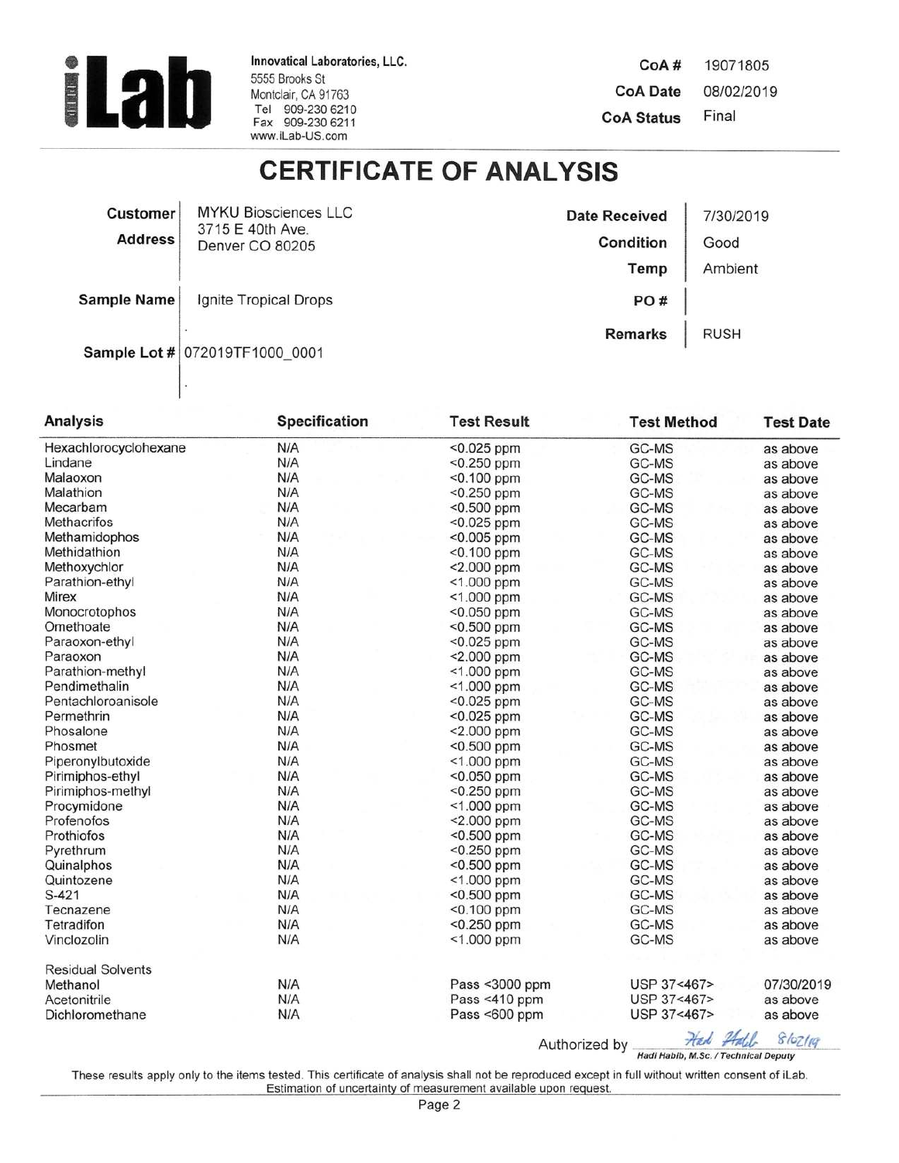

Innovatical Laboratories, LLC. 5555 Brooks St Montclair, CA 91763<br>Tel 909-230 6210 Fax 909-230 6211 www.iLab-US.com

CoA# 19071805 **CoA Date** 08/02/2019 Final **CoA Status** 

## **CERTIFICATE OF ANALYSIS**

| <b>Customer</b>    | <b>MYKU Biosciences LLC</b><br>3715 E 40th Ave. | <b>Date Received</b> | 7/30/2019   |
|--------------------|-------------------------------------------------|----------------------|-------------|
| <b>Address</b>     | Denver CO 80205                                 | Condition            | Good        |
|                    |                                                 | Temp                 | Ambient     |
| <b>Sample Name</b> | Ignite Tropical Drops                           | PO#                  |             |
|                    | Sample Lot # 072019TF1000 0001                  | <b>Remarks</b>       | <b>RUSH</b> |

| <b>Analysis</b>          | <b>Specification</b> | <b>Test Result</b> | <b>Test Method</b> | <b>Test Date</b> |
|--------------------------|----------------------|--------------------|--------------------|------------------|
| Hexachlorocyclohexane    | N/A                  | $<$ 0.025 ppm      | GC-MS              | as above         |
| Lindane                  | N/A                  | <0.250 ppm         | GC-MS              | as above         |
| Malaoxon                 | N/A                  | $< 0.100$ ppm      | GC-MS              | as above         |
| Malathion                | N/A                  | <0.250 ppm         | GC-MS              | as above         |
| Mecarbam                 | N/A                  | $< 0.500$ ppm      | GC-MS              | as above         |
| <b>Methacrifos</b>       | N/A                  | $< 0.025$ ppm      | GC-MS              | as above         |
| Methamidophos            | N/A                  | <0.005 ppm         | GC-MS              | as above         |
| Methidathion             | N/A                  | <0.100 ppm         | GC-MS              | as above         |
| Methoxychlor             | N/A                  | $< 2.000$ ppm      | GC-MS              | as above         |
| Parathion-ethyl          | N/A                  | <1.000 ppm         | GC-MS              | as above         |
| Mirex                    | N/A                  | $<$ 1.000 ppm      | GC-MS              | as above         |
| Monocrotophos            | N/A                  | $< 0.050$ ppm      | GC-MS              | as above         |
| Omethoate                | N/A                  | <0.500 ppm         | GC-MS              | as above         |
| Paraoxon-ethyl           | N/A                  | $< 0.025$ ppm      | GC-MS              | as above         |
| Paraoxon                 | N/A                  | $< 2.000$ ppm      | GC-MS              | as above         |
| Parathion-methyl         | N/A                  | <1.000 ppm         | GC-MS              | as above         |
| Pendimethalin            | N/A                  | <1.000 ppm         | GC-MS              | as above         |
| Pentachloroanisole       | N/A                  | $< 0.025$ ppm      | GC-MS              | as above         |
| Permethrin               | N/A                  | <0.025 ppm         | GC-MS              | as above         |
| Phosalone                | N/A                  | $< 2.000$ ppm      | GC-MS              | as above         |
| Phosmet                  | N/A                  | $<$ 0.500 ppm      | GC-MS              | as above         |
| Piperonylbutoxide        | N/A                  | <1.000 ppm         | GC-MS              | as above         |
| Pirimiphos-ethyl         | N/A                  | $< 0.050$ ppm      | GC-MS              | as above         |
| Pirimiphos-methyl        | N/A                  | <0.250 ppm         | GC-MS              | as above         |
| Procymidone              | N/A                  | $<$ 1.000 ppm      | GC-MS              | as above         |
| Profenofos               | N/A                  | <2.000 ppm         | GC-MS              | as above         |
| Prothiofos               | N/A                  | <0.500 ppm         | GC-MS              | as above         |
| Pyrethrum                | N/A                  | $<$ 0.250 ppm      | GC-MS              | as above         |
| Quinalphos               | N/A                  | $<$ 0.500 ppm      | GC-MS              | as above         |
| Quintozene               | N/A                  | $<$ 1.000 ppm      | GC-MS              | as above         |
| $S-421$                  | N/A                  | $< 0.500$ ppm      | GC-MS              | as above         |
| Tecnazene                | N/A                  | <0.100 ppm         | GC-MS              | as above         |
| Tetradifon               | N/A                  | <0.250 ppm         | GC-MS              | as above         |
| Vinclozolin              | N/A                  | <1.000 ppm         | GC-MS              | as above         |
| <b>Residual Solvents</b> |                      |                    |                    |                  |
| Methanol                 | N/A                  | Pass <3000 ppm     | USP 37<467>        | 07/30/2019       |
| Acetonitrile             | N/A                  | Pass <410 ppm      | USP 37<467>        | as above         |
| Dichloromethane          | N/A                  | Pass <600 ppm      | USP 37<467>        | as above         |

Authorized by Hadi Habib, M.Sc. / Technical Deputy Had Hall 8/02/19

These results apply only to the items tested. This certificate of analysis shall not be reproduced except in full without written consent of iLab. Estimation of uncertainty of measurement available upon request.